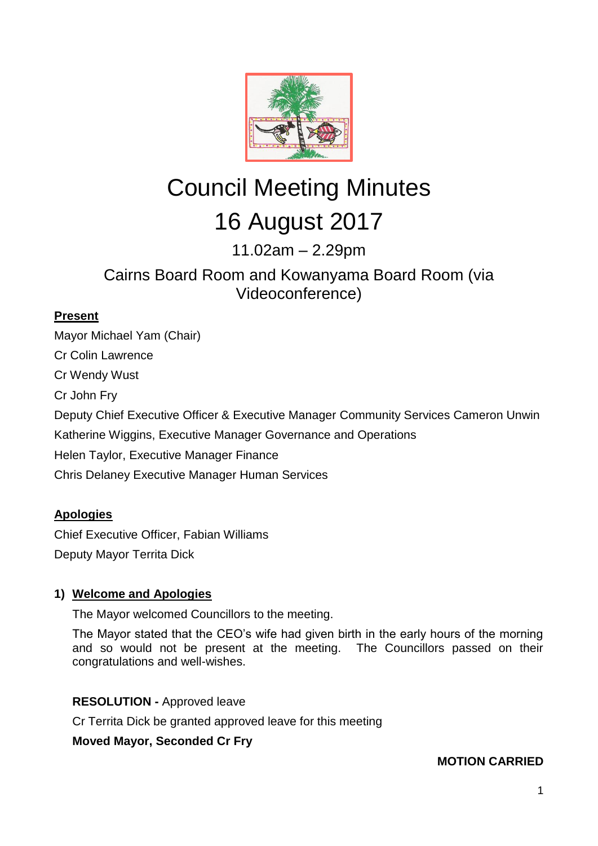

# Council Meeting Minutes 16 August 2017

11.02am – 2.29pm

## Cairns Board Room and Kowanyama Board Room (via Videoconference)

## **Present**

Mayor Michael Yam (Chair) Cr Colin Lawrence Cr Wendy Wust Cr John Fry Deputy Chief Executive Officer & Executive Manager Community Services Cameron Unwin Katherine Wiggins, Executive Manager Governance and Operations Helen Taylor, Executive Manager Finance Chris Delaney Executive Manager Human Services

## **Apologies**

Chief Executive Officer, Fabian Williams Deputy Mayor Territa Dick

## **1) Welcome and Apologies**

The Mayor welcomed Councillors to the meeting.

The Mayor stated that the CEO's wife had given birth in the early hours of the morning and so would not be present at the meeting. The Councillors passed on their congratulations and well-wishes.

## **RESOLUTION -** Approved leave

Cr Territa Dick be granted approved leave for this meeting

**Moved Mayor, Seconded Cr Fry**

## **MOTION CARRIED**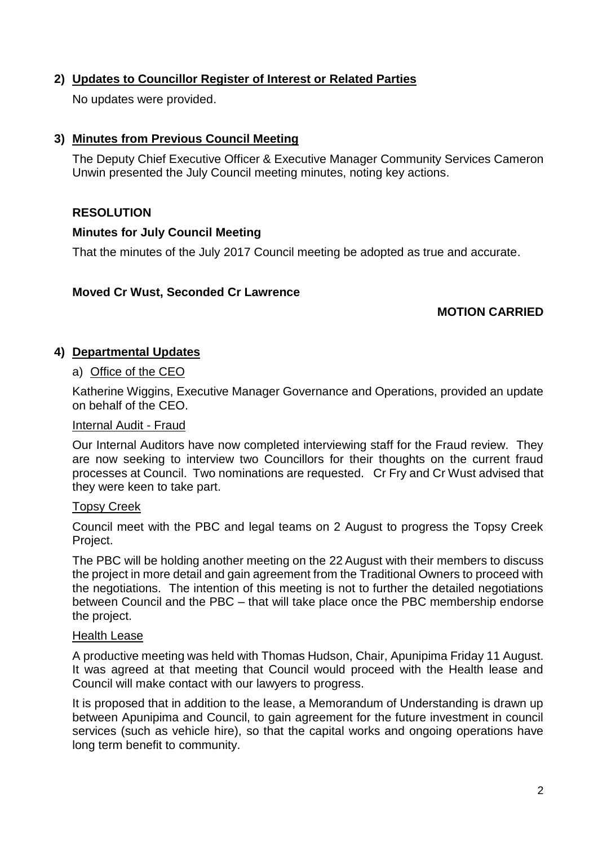## **2) Updates to Councillor Register of Interest or Related Parties**

No updates were provided.

## **3) Minutes from Previous Council Meeting**

The Deputy Chief Executive Officer & Executive Manager Community Services Cameron Unwin presented the July Council meeting minutes, noting key actions.

## **RESOLUTION**

## **Minutes for July Council Meeting**

That the minutes of the July 2017 Council meeting be adopted as true and accurate.

## **Moved Cr Wust, Seconded Cr Lawrence**

## **MOTION CARRIED**

## **4) Departmental Updates**

#### a) Office of the CEO

Katherine Wiggins, Executive Manager Governance and Operations, provided an update on behalf of the CEO.

#### Internal Audit - Fraud

Our Internal Auditors have now completed interviewing staff for the Fraud review. They are now seeking to interview two Councillors for their thoughts on the current fraud processes at Council. Two nominations are requested. Cr Fry and Cr Wust advised that they were keen to take part.

#### Topsy Creek

Council meet with the PBC and legal teams on 2 August to progress the Topsy Creek Project.

The PBC will be holding another meeting on the 22 August with their members to discuss the project in more detail and gain agreement from the Traditional Owners to proceed with the negotiations. The intention of this meeting is not to further the detailed negotiations between Council and the PBC – that will take place once the PBC membership endorse the project.

#### Health Lease

A productive meeting was held with Thomas Hudson, Chair, Apunipima Friday 11 August. It was agreed at that meeting that Council would proceed with the Health lease and Council will make contact with our lawyers to progress.

It is proposed that in addition to the lease, a Memorandum of Understanding is drawn up between Apunipima and Council, to gain agreement for the future investment in council services (such as vehicle hire), so that the capital works and ongoing operations have long term benefit to community.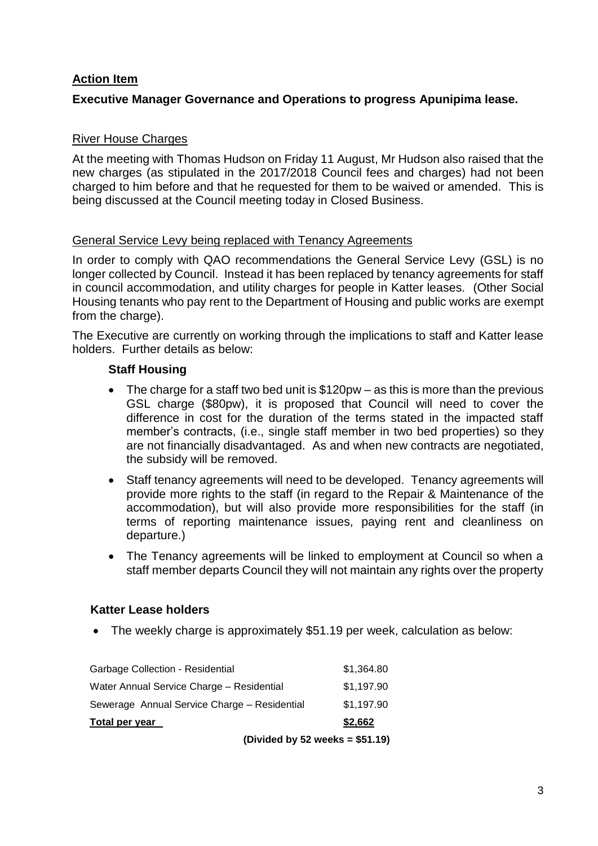## **Action Item**

## **Executive Manager Governance and Operations to progress Apunipima lease.**

## River House Charges

At the meeting with Thomas Hudson on Friday 11 August, Mr Hudson also raised that the new charges (as stipulated in the 2017/2018 Council fees and charges) had not been charged to him before and that he requested for them to be waived or amended. This is being discussed at the Council meeting today in Closed Business.

#### General Service Levy being replaced with Tenancy Agreements

In order to comply with QAO recommendations the General Service Levy (GSL) is no longer collected by Council. Instead it has been replaced by tenancy agreements for staff in council accommodation, and utility charges for people in Katter leases. (Other Social Housing tenants who pay rent to the Department of Housing and public works are exempt from the charge).

The Executive are currently on working through the implications to staff and Katter lease holders. Further details as below:

#### **Staff Housing**

- The charge for a staff two bed unit is \$120pw as this is more than the previous GSL charge (\$80pw), it is proposed that Council will need to cover the difference in cost for the duration of the terms stated in the impacted staff member's contracts, (i.e., single staff member in two bed properties) so they are not financially disadvantaged. As and when new contracts are negotiated, the subsidy will be removed.
- Staff tenancy agreements will need to be developed. Tenancy agreements will provide more rights to the staff (in regard to the Repair & Maintenance of the accommodation), but will also provide more responsibilities for the staff (in terms of reporting maintenance issues, paying rent and cleanliness on departure.)
- The Tenancy agreements will be linked to employment at Council so when a staff member departs Council they will not maintain any rights over the property

#### **Katter Lease holders**

The weekly charge is approximately \$51.19 per week, calculation as below:

| (Divided by 52 weeks = $$51.19$ )            |  |            |
|----------------------------------------------|--|------------|
| Total per year                               |  | \$2,662    |
| Sewerage Annual Service Charge – Residential |  | \$1,197.90 |
| Water Annual Service Charge - Residential    |  | \$1,197.90 |
| <b>Garbage Collection - Residential</b>      |  | \$1,364.80 |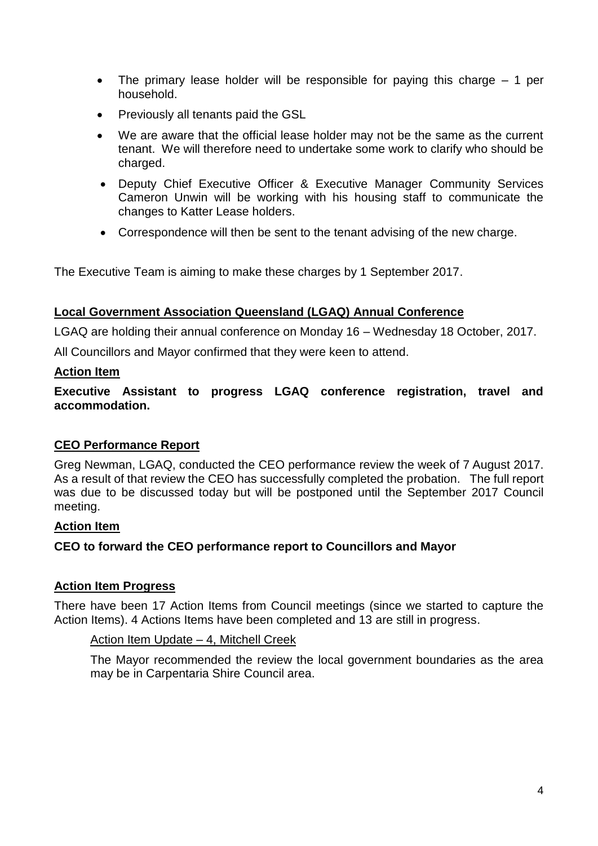- The primary lease holder will be responsible for paying this charge  $-1$  per household.
- Previously all tenants paid the GSL
- We are aware that the official lease holder may not be the same as the current tenant. We will therefore need to undertake some work to clarify who should be charged.
- Deputy Chief Executive Officer & Executive Manager Community Services Cameron Unwin will be working with his housing staff to communicate the changes to Katter Lease holders.
- Correspondence will then be sent to the tenant advising of the new charge.

The Executive Team is aiming to make these charges by 1 September 2017.

#### **Local Government Association Queensland (LGAQ) Annual Conference**

LGAQ are holding their annual conference on Monday 16 – Wednesday 18 October, 2017.

All Councillors and Mayor confirmed that they were keen to attend.

#### **Action Item**

**Executive Assistant to progress LGAQ conference registration, travel and accommodation.**

## **CEO Performance Report**

Greg Newman, LGAQ, conducted the CEO performance review the week of 7 August 2017. As a result of that review the CEO has successfully completed the probation. The full report was due to be discussed today but will be postponed until the September 2017 Council meeting.

#### **Action Item**

#### **CEO to forward the CEO performance report to Councillors and Mayor**

#### **Action Item Progress**

There have been 17 Action Items from Council meetings (since we started to capture the Action Items). 4 Actions Items have been completed and 13 are still in progress.

#### Action Item Update – 4, Mitchell Creek

The Mayor recommended the review the local government boundaries as the area may be in Carpentaria Shire Council area.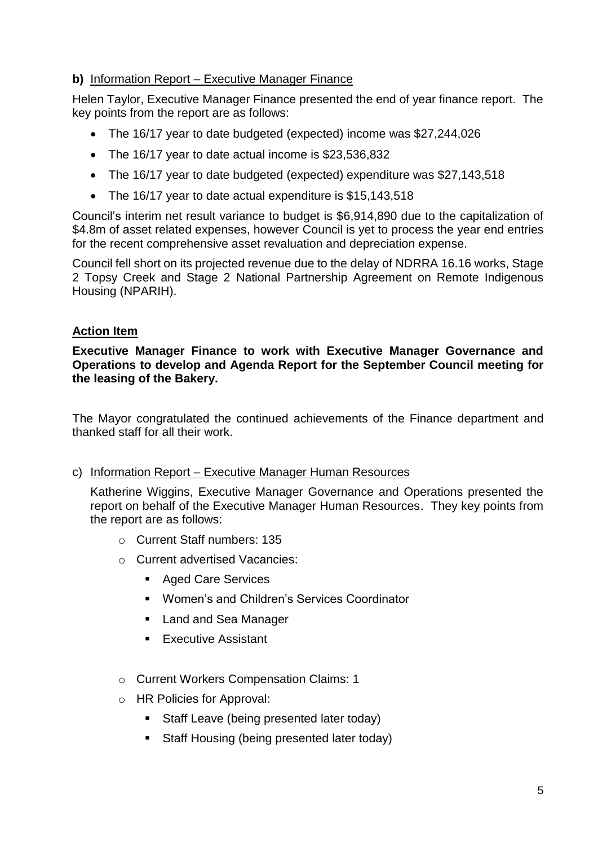## **b)** Information Report – Executive Manager Finance

Helen Taylor, Executive Manager Finance presented the end of year finance report. The key points from the report are as follows:

- The 16/17 year to date budgeted (expected) income was \$27,244,026
- The 16/17 year to date actual income is \$23,536,832
- The 16/17 year to date budgeted (expected) expenditure was \$27,143,518
- The 16/17 year to date actual expenditure is \$15,143,518

Council's interim net result variance to budget is \$6,914,890 due to the capitalization of \$4.8m of asset related expenses, however Council is yet to process the year end entries for the recent comprehensive asset revaluation and depreciation expense.

Council fell short on its projected revenue due to the delay of NDRRA 16.16 works, Stage 2 Topsy Creek and Stage 2 National Partnership Agreement on Remote Indigenous Housing (NPARIH).

## **Action Item**

**Executive Manager Finance to work with Executive Manager Governance and Operations to develop and Agenda Report for the September Council meeting for the leasing of the Bakery.**

The Mayor congratulated the continued achievements of the Finance department and thanked staff for all their work.

## c) Information Report – Executive Manager Human Resources

Katherine Wiggins, Executive Manager Governance and Operations presented the report on behalf of the Executive Manager Human Resources. They key points from the report are as follows:

- o Current Staff numbers: 135
- o Current advertised Vacancies:
	- Aged Care Services
	- **Women's and Children's Services Coordinator**
	- **Land and Sea Manager**
	- **Executive Assistant**
- o Current Workers Compensation Claims: 1
- o HR Policies for Approval:
	- **Staff Leave (being presented later today)**
	- Staff Housing (being presented later today)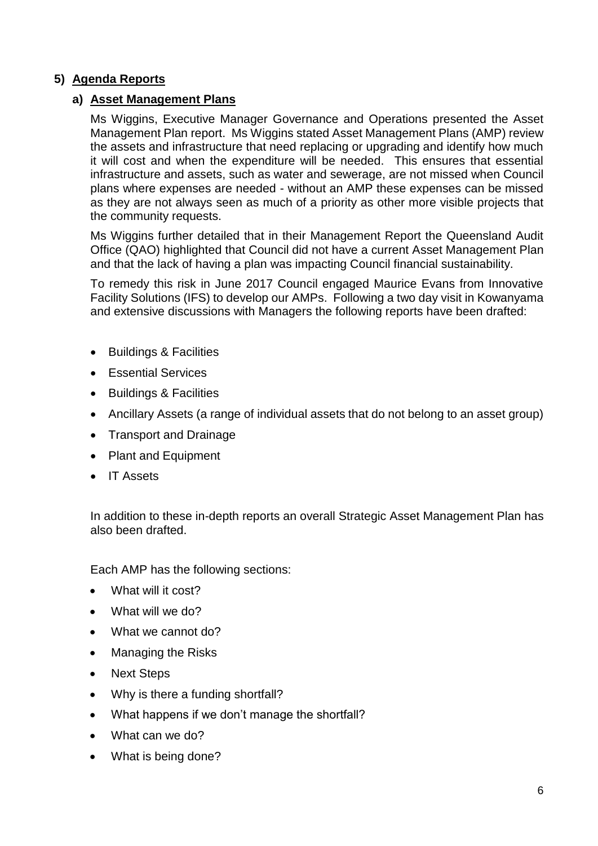## **5) Agenda Reports**

## **a) Asset Management Plans**

Ms Wiggins, Executive Manager Governance and Operations presented the Asset Management Plan report. Ms Wiggins stated Asset Management Plans (AMP) review the assets and infrastructure that need replacing or upgrading and identify how much it will cost and when the expenditure will be needed. This ensures that essential infrastructure and assets, such as water and sewerage, are not missed when Council plans where expenses are needed - without an AMP these expenses can be missed as they are not always seen as much of a priority as other more visible projects that the community requests.

Ms Wiggins further detailed that in their Management Report the Queensland Audit Office (QAO) highlighted that Council did not have a current Asset Management Plan and that the lack of having a plan was impacting Council financial sustainability.

To remedy this risk in June 2017 Council engaged Maurice Evans from Innovative Facility Solutions (IFS) to develop our AMPs. Following a two day visit in Kowanyama and extensive discussions with Managers the following reports have been drafted:

- Buildings & Facilities
- **Essential Services**
- Buildings & Facilities
- Ancillary Assets (a range of individual assets that do not belong to an asset group)
- Transport and Drainage
- Plant and Equipment
- IT Assets

In addition to these in-depth reports an overall Strategic Asset Management Plan has also been drafted.

Each AMP has the following sections:

- What will it cost?
- What will we do?
- What we cannot do?
- Managing the Risks
- Next Steps
- Why is there a funding shortfall?
- What happens if we don't manage the shortfall?
- What can we do?
- What is being done?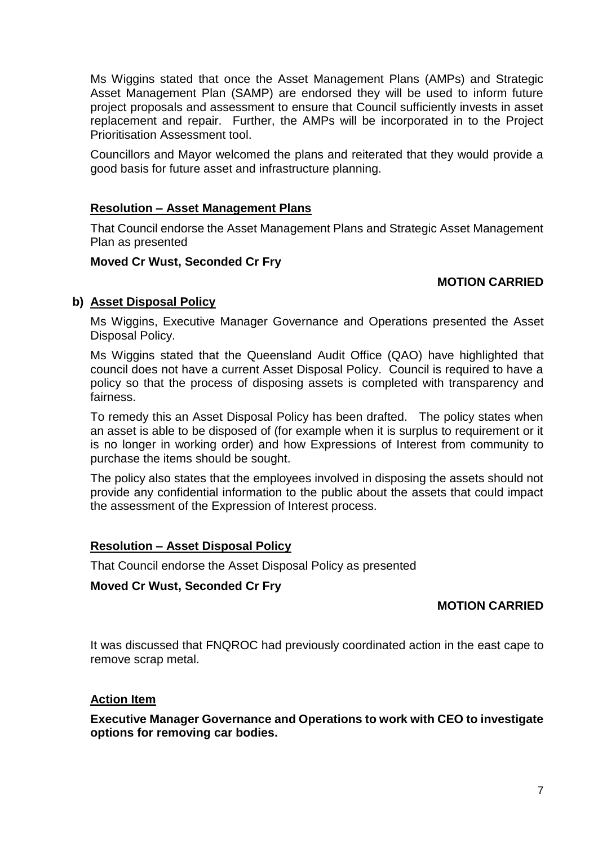Ms Wiggins stated that once the Asset Management Plans (AMPs) and Strategic Asset Management Plan (SAMP) are endorsed they will be used to inform future project proposals and assessment to ensure that Council sufficiently invests in asset replacement and repair. Further, the AMPs will be incorporated in to the Project Prioritisation Assessment tool.

Councillors and Mayor welcomed the plans and reiterated that they would provide a good basis for future asset and infrastructure planning.

#### **Resolution – Asset Management Plans**

That Council endorse the Asset Management Plans and Strategic Asset Management Plan as presented

#### **Moved Cr Wust, Seconded Cr Fry**

#### **MOTION CARRIED**

#### **b) Asset Disposal Policy**

Ms Wiggins, Executive Manager Governance and Operations presented the Asset Disposal Policy.

Ms Wiggins stated that the Queensland Audit Office (QAO) have highlighted that council does not have a current Asset Disposal Policy. Council is required to have a policy so that the process of disposing assets is completed with transparency and fairness.

To remedy this an Asset Disposal Policy has been drafted. The policy states when an asset is able to be disposed of (for example when it is surplus to requirement or it is no longer in working order) and how Expressions of Interest from community to purchase the items should be sought.

The policy also states that the employees involved in disposing the assets should not provide any confidential information to the public about the assets that could impact the assessment of the Expression of Interest process.

#### **Resolution – Asset Disposal Policy**

That Council endorse the Asset Disposal Policy as presented

#### **Moved Cr Wust, Seconded Cr Fry**

#### **MOTION CARRIED**

It was discussed that FNQROC had previously coordinated action in the east cape to remove scrap metal.

#### **Action Item**

**Executive Manager Governance and Operations to work with CEO to investigate options for removing car bodies.**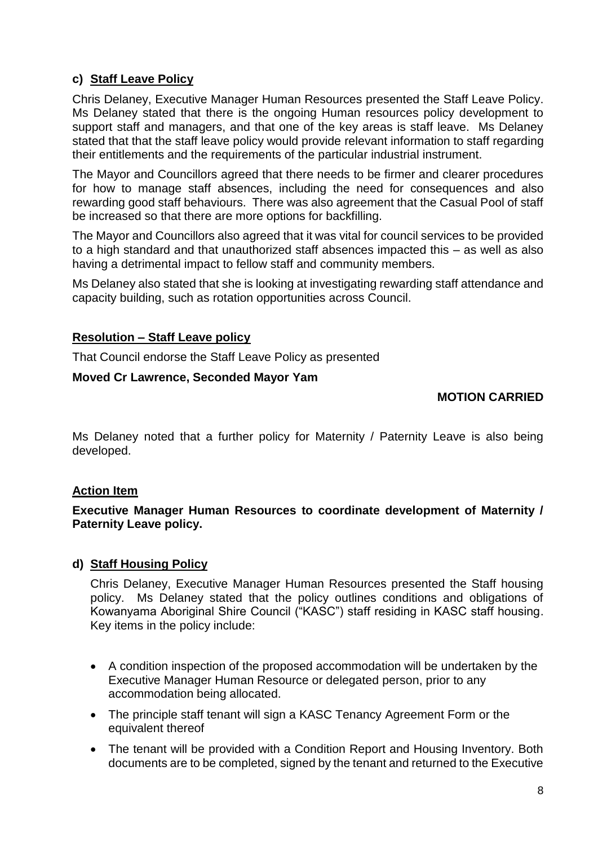## **c) Staff Leave Policy**

Chris Delaney, Executive Manager Human Resources presented the Staff Leave Policy. Ms Delaney stated that there is the ongoing Human resources policy development to support staff and managers, and that one of the key areas is staff leave. Ms Delaney stated that that the staff leave policy would provide relevant information to staff regarding their entitlements and the requirements of the particular industrial instrument.

The Mayor and Councillors agreed that there needs to be firmer and clearer procedures for how to manage staff absences, including the need for consequences and also rewarding good staff behaviours. There was also agreement that the Casual Pool of staff be increased so that there are more options for backfilling.

The Mayor and Councillors also agreed that it was vital for council services to be provided to a high standard and that unauthorized staff absences impacted this – as well as also having a detrimental impact to fellow staff and community members.

Ms Delaney also stated that she is looking at investigating rewarding staff attendance and capacity building, such as rotation opportunities across Council.

## **Resolution – Staff Leave policy**

That Council endorse the Staff Leave Policy as presented

## **Moved Cr Lawrence, Seconded Mayor Yam**

## **MOTION CARRIED**

Ms Delaney noted that a further policy for Maternity / Paternity Leave is also being developed.

## **Action Item**

**Executive Manager Human Resources to coordinate development of Maternity / Paternity Leave policy.**

## **d) Staff Housing Policy**

Chris Delaney, Executive Manager Human Resources presented the Staff housing policy. Ms Delaney stated that the policy outlines conditions and obligations of Kowanyama Aboriginal Shire Council ("KASC") staff residing in KASC staff housing. Key items in the policy include:

- A condition inspection of the proposed accommodation will be undertaken by the Executive Manager Human Resource or delegated person, prior to any accommodation being allocated.
- The principle staff tenant will sign a KASC Tenancy Agreement Form or the equivalent thereof
- The tenant will be provided with a Condition Report and Housing Inventory. Both documents are to be completed, signed by the tenant and returned to the Executive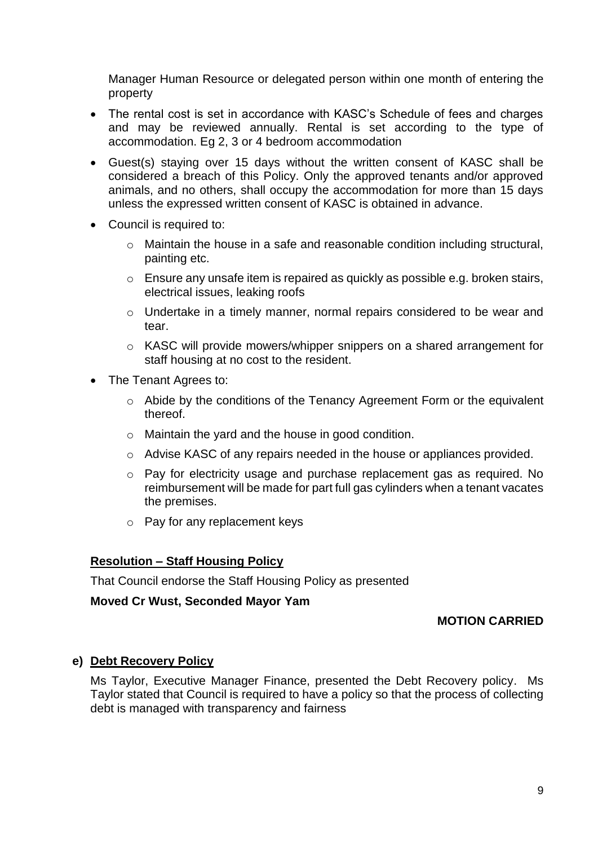Manager Human Resource or delegated person within one month of entering the property

- The rental cost is set in accordance with KASC's Schedule of fees and charges and may be reviewed annually. Rental is set according to the type of accommodation. Eg 2, 3 or 4 bedroom accommodation
- Guest(s) staying over 15 days without the written consent of KASC shall be considered a breach of this Policy. Only the approved tenants and/or approved animals, and no others, shall occupy the accommodation for more than 15 days unless the expressed written consent of KASC is obtained in advance.
- Council is required to:
	- o Maintain the house in a safe and reasonable condition including structural, painting etc.
	- o Ensure any unsafe item is repaired as quickly as possible e.g. broken stairs, electrical issues, leaking roofs
	- o Undertake in a timely manner, normal repairs considered to be wear and tear.
	- o KASC will provide mowers/whipper snippers on a shared arrangement for staff housing at no cost to the resident.
- The Tenant Agrees to:
	- o Abide by the conditions of the Tenancy Agreement Form or the equivalent thereof.
	- o Maintain the yard and the house in good condition.
	- o Advise KASC of any repairs needed in the house or appliances provided.
	- o Pay for electricity usage and purchase replacement gas as required. No reimbursement will be made for part full gas cylinders when a tenant vacates the premises.
	- o Pay for any replacement keys

#### **Resolution – Staff Housing Policy**

That Council endorse the Staff Housing Policy as presented

#### **Moved Cr Wust, Seconded Mayor Yam**

## **MOTION CARRIED**

#### **e) Debt Recovery Policy**

Ms Taylor, Executive Manager Finance, presented the Debt Recovery policy. Ms Taylor stated that Council is required to have a policy so that the process of collecting debt is managed with transparency and fairness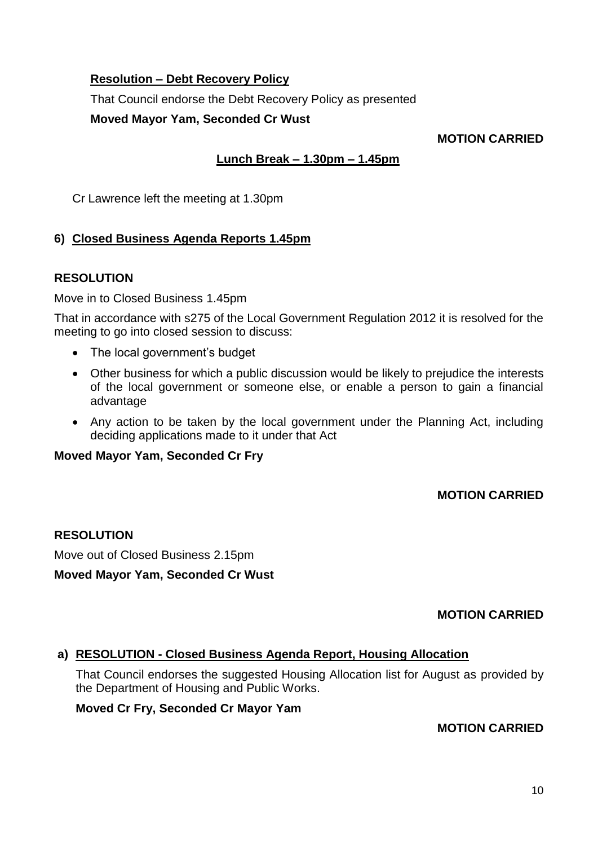## **Resolution – Debt Recovery Policy**

That Council endorse the Debt Recovery Policy as presented

**Moved Mayor Yam, Seconded Cr Wust**

## **MOTION CARRIED**

## **Lunch Break – 1.30pm – 1.45pm**

Cr Lawrence left the meeting at 1.30pm

## **6) Closed Business Agenda Reports 1.45pm**

## **RESOLUTION**

Move in to Closed Business 1.45pm

That in accordance with s275 of the Local Government Regulation 2012 it is resolved for the meeting to go into closed session to discuss:

- The local government's budget
- Other business for which a public discussion would be likely to prejudice the interests of the local government or someone else, or enable a person to gain a financial advantage
- Any action to be taken by the local government under the Planning Act, including deciding applications made to it under that Act

#### **Moved Mayor Yam, Seconded Cr Fry**

## **MOTION CARRIED**

## **RESOLUTION**

Move out of Closed Business 2.15pm

#### **Moved Mayor Yam, Seconded Cr Wust**

## **MOTION CARRIED**

## **a) RESOLUTION - Closed Business Agenda Report, Housing Allocation**

That Council endorses the suggested Housing Allocation list for August as provided by the Department of Housing and Public Works.

#### **Moved Cr Fry, Seconded Cr Mayor Yam**

## **MOTION CARRIED**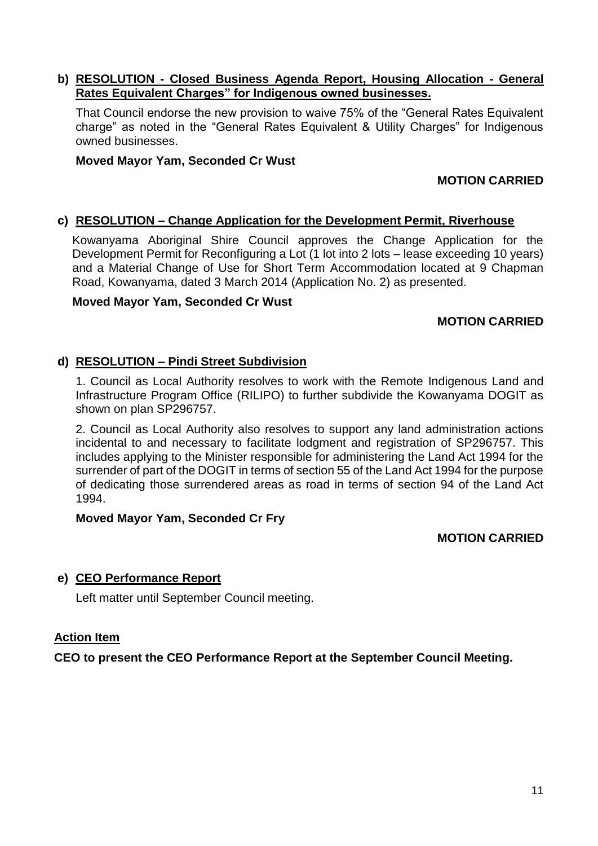#### **b) RESOLUTION - Closed Business Agenda Report, Housing Allocation - General Rates Equivalent Charges" for Indigenous owned businesses.**

That Council endorse the new provision to waive 75% of the "General Rates Equivalent charge" as noted in the "General Rates Equivalent & Utility Charges" for Indigenous owned businesses.

#### **Moved Mayor Yam, Seconded Cr Wust**

## **MOTION CARRIED**

#### **c) RESOLUTION – Change Application for the Development Permit, Riverhouse**

Kowanyama Aboriginal Shire Council approves the Change Application for the Development Permit for Reconfiguring a Lot (1 lot into 2 lots – lease exceeding 10 years) and a Material Change of Use for Short Term Accommodation located at 9 Chapman Road, Kowanyama, dated 3 March 2014 (Application No. 2) as presented.

#### **Moved Mayor Yam, Seconded Cr Wust**

#### **MOTION CARRIED**

#### **d) RESOLUTION – Pindi Street Subdivision**

1. Council as Local Authority resolves to work with the Remote Indigenous Land and Infrastructure Program Office (RILIPO) to further subdivide the Kowanyama DOGIT as shown on plan SP296757.

2. Council as Local Authority also resolves to support any land administration actions incidental to and necessary to facilitate lodgment and registration of SP296757. This includes applying to the Minister responsible for administering the Land Act 1994 for the surrender of part of the DOGIT in terms of section 55 of the Land Act 1994 for the purpose of dedicating those surrendered areas as road in terms of section 94 of the Land Act 1994.

#### **Moved Mayor Yam, Seconded Cr Fry**

#### **MOTION CARRIED**

## **e) CEO Performance Report**

Left matter until September Council meeting.

#### **Action Item**

**CEO to present the CEO Performance Report at the September Council Meeting.**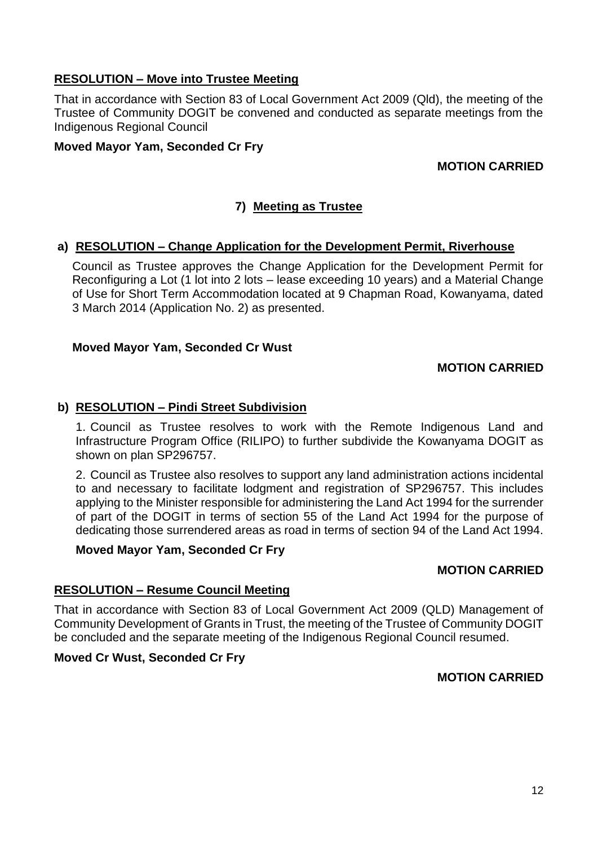## **RESOLUTION – Move into Trustee Meeting**

That in accordance with Section 83 of Local Government Act 2009 (Qld), the meeting of the Trustee of Community DOGIT be convened and conducted as separate meetings from the Indigenous Regional Council

## **Moved Mayor Yam, Seconded Cr Fry**

## **MOTION CARRIED**

## **7) Meeting as Trustee**

#### **a) RESOLUTION – Change Application for the Development Permit, Riverhouse**

Council as Trustee approves the Change Application for the Development Permit for Reconfiguring a Lot (1 lot into 2 lots – lease exceeding 10 years) and a Material Change of Use for Short Term Accommodation located at 9 Chapman Road, Kowanyama, dated 3 March 2014 (Application No. 2) as presented.

#### **Moved Mayor Yam, Seconded Cr Wust**

#### **MOTION CARRIED**

#### **b) RESOLUTION – Pindi Street Subdivision**

1. Council as Trustee resolves to work with the Remote Indigenous Land and Infrastructure Program Office (RILIPO) to further subdivide the Kowanyama DOGIT as shown on plan SP296757.

2. Council as Trustee also resolves to support any land administration actions incidental to and necessary to facilitate lodgment and registration of SP296757. This includes applying to the Minister responsible for administering the Land Act 1994 for the surrender of part of the DOGIT in terms of section 55 of the Land Act 1994 for the purpose of dedicating those surrendered areas as road in terms of section 94 of the Land Act 1994.

#### **Moved Mayor Yam, Seconded Cr Fry**

## **MOTION CARRIED**

#### **RESOLUTION – Resume Council Meeting**

That in accordance with Section 83 of Local Government Act 2009 (QLD) Management of Community Development of Grants in Trust, the meeting of the Trustee of Community DOGIT be concluded and the separate meeting of the Indigenous Regional Council resumed.

## **Moved Cr Wust, Seconded Cr Fry**

#### **MOTION CARRIED**